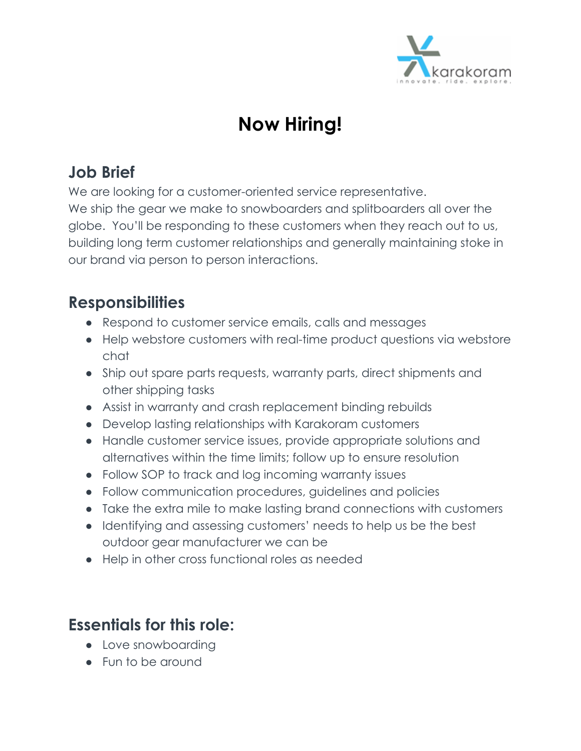

# **Now Hiring!**

# **Job Brief**

We are looking for a customer-oriented service representative.

We ship the gear we make to snowboarders and splitboarders all over the globe. You'll be responding to these customers when they reach out to us, building long term customer relationships and generally maintaining stoke in our brand via person to person interactions.

# **Responsibilities**

- Respond to customer service emails, calls and messages
- Help webstore customers with real-time product questions via webstore chat
- Ship out spare parts requests, warranty parts, direct shipments and other shipping tasks
- Assist in warranty and crash replacement binding rebuilds
- Develop lasting relationships with Karakoram customers
- Handle customer service issues, provide appropriate solutions and alternatives within the time limits; follow up to ensure resolution
- Follow SOP to track and log incoming warranty issues
- Follow communication procedures, guidelines and policies
- Take the extra mile to make lasting brand connections with customers
- Identifying and assessing customers' needs to help us be the best outdoor gear manufacturer we can be
- Help in other cross functional roles as needed

### **Essentials for this role:**

- Love snowboarding
- Fun to be around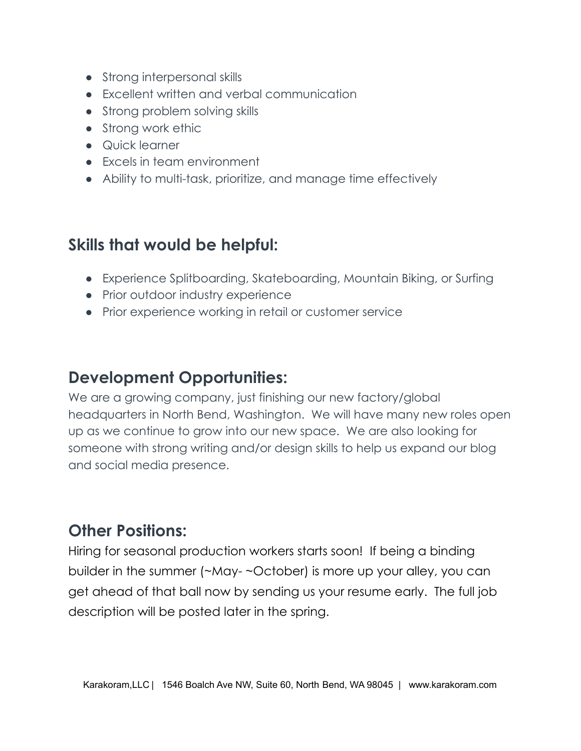- Strong interpersonal skills
- Excellent written and verbal communication
- Strong problem solving skills
- Strong work ethic
- Quick learner
- Excels in team environment
- Ability to multi-task, prioritize, and manage time effectively

## **Skills that would be helpful:**

- Experience Splitboarding, Skateboarding, Mountain Biking, or Surfing
- Prior outdoor industry experience
- Prior experience working in retail or customer service

#### **Development Opportunities:**

We are a growing company, just finishing our new factory/global headquarters in North Bend, Washington. We will have many new roles open up as we continue to grow into our new space. We are also looking for someone with strong writing and/or design skills to help us expand our blog and social media presence.

#### **Other Positions:**

Hiring for seasonal production workers starts soon! If being a binding builder in the summer (~May- ~October) is more up your alley, you can get ahead of that ball now by sending us your resume early. The full job description will be posted later in the spring.